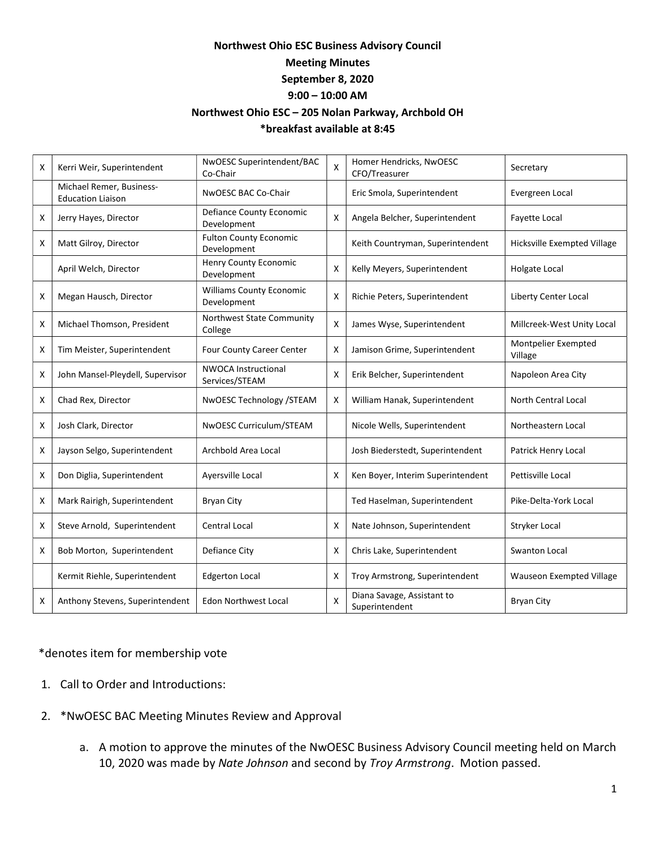## Northwest Ohio ESC Business Advisory Council Meeting Minutes September 8, 2020 9:00 – 10:00 AM Northwest Ohio ESC – 205 Nolan Parkway, Archbold OH

## \*breakfast available at 8:45

| X | Kerri Weir, Superintendent                           | NwOESC Superintendent/BAC<br>Co-Chair          | X | Homer Hendricks, NwOESC<br>CFO/Treasurer     | Secretary                       |
|---|------------------------------------------------------|------------------------------------------------|---|----------------------------------------------|---------------------------------|
|   | Michael Remer, Business-<br><b>Education Liaison</b> | NwOESC BAC Co-Chair                            |   | Eric Smola, Superintendent                   | Evergreen Local                 |
| X | Jerry Hayes, Director                                | Defiance County Economic<br>Development        | х | Angela Belcher, Superintendent               | Fayette Local                   |
| X | Matt Gilroy, Director                                | <b>Fulton County Economic</b><br>Development   |   | Keith Countryman, Superintendent             | Hicksville Exempted Village     |
|   | April Welch, Director                                | Henry County Economic<br>Development           | X | Kelly Meyers, Superintendent                 | Holgate Local                   |
| Х | Megan Hausch, Director                               | <b>Williams County Economic</b><br>Development | X | Richie Peters, Superintendent                | Liberty Center Local            |
| X | Michael Thomson, President                           | Northwest State Community<br>College           | X | James Wyse, Superintendent                   | Millcreek-West Unity Local      |
| X | Tim Meister, Superintendent                          | Four County Career Center                      | X | Jamison Grime, Superintendent                | Montpelier Exempted<br>Village  |
| Х | John Mansel-Pleydell, Supervisor                     | <b>NWOCA Instructional</b><br>Services/STEAM   | X | Erik Belcher, Superintendent                 | Napoleon Area City              |
| Х | Chad Rex, Director                                   | NwOESC Technology /STEAM                       | X | William Hanak, Superintendent                | North Central Local             |
| Х | Josh Clark, Director                                 | NwOESC Curriculum/STEAM                        |   | Nicole Wells, Superintendent                 | Northeastern Local              |
| Х | Jayson Selgo, Superintendent                         | Archbold Area Local                            |   | Josh Biederstedt, Superintendent             | Patrick Henry Local             |
| X | Don Diglia, Superintendent                           | Ayersville Local                               | X | Ken Boyer, Interim Superintendent            | Pettisville Local               |
| Х | Mark Rairigh, Superintendent                         | <b>Bryan City</b>                              |   | Ted Haselman, Superintendent                 | Pike-Delta-York Local           |
| X | Steve Arnold, Superintendent                         | <b>Central Local</b>                           | Х | Nate Johnson, Superintendent                 | Stryker Local                   |
| X | Bob Morton, Superintendent                           | Defiance City                                  | X | Chris Lake, Superintendent                   | Swanton Local                   |
|   | Kermit Riehle, Superintendent                        | <b>Edgerton Local</b>                          | X | Troy Armstrong, Superintendent               | <b>Wauseon Exempted Village</b> |
| x | Anthony Stevens, Superintendent                      | <b>Edon Northwest Local</b>                    | X | Diana Savage, Assistant to<br>Superintendent | <b>Bryan City</b>               |

## \*denotes item for membership vote

- 1. Call to Order and Introductions:
- 2. \*NwOESC BAC Meeting Minutes Review and Approval
	- a. A motion to approve the minutes of the NwOESC Business Advisory Council meeting held on March 10, 2020 was made by Nate Johnson and second by Troy Armstrong. Motion passed.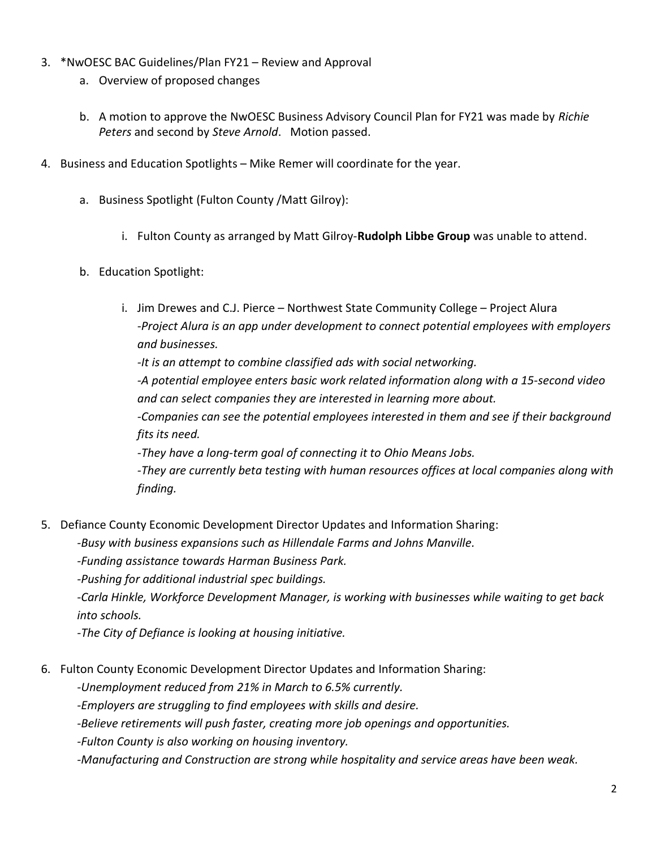- 3. \*NwOESC BAC Guidelines/Plan FY21 Review and Approval
	- a. Overview of proposed changes
	- b. A motion to approve the NwOESC Business Advisory Council Plan for FY21 was made by Richie Peters and second by Steve Arnold. Motion passed.
- 4. Business and Education Spotlights Mike Remer will coordinate for the year.
	- a. Business Spotlight (Fulton County /Matt Gilroy):
		- i. Fulton County as arranged by Matt Gilroy-Rudolph Libbe Group was unable to attend.
	- b. Education Spotlight:
		- i. Jim Drewes and C.J. Pierce Northwest State Community College Project Alura -Project Alura is an app under development to connect potential employees with employers and businesses. -It is an attempt to combine classified ads with social networking. -A potential employee enters basic work related information along with a 15-second video and can select companies they are interested in learning more about. -Companies can see the potential employees interested in them and see if their background fits its need. -They have a long-term goal of connecting it to Ohio Means Jobs. -They are currently beta testing with human resources offices at local companies along with finding.
- 5. Defiance County Economic Development Director Updates and Information Sharing:

-Busy with business expansions such as Hillendale Farms and Johns Manville.

-Funding assistance towards Harman Business Park.

-Pushing for additional industrial spec buildings.

-Carla Hinkle, Workforce Development Manager, is working with businesses while waiting to get back into schools.

-The City of Defiance is looking at housing initiative.

6. Fulton County Economic Development Director Updates and Information Sharing:

-Unemployment reduced from 21% in March to 6.5% currently.

-Employers are struggling to find employees with skills and desire.

-Believe retirements will push faster, creating more job openings and opportunities.

-Fulton County is also working on housing inventory.

-Manufacturing and Construction are strong while hospitality and service areas have been weak.